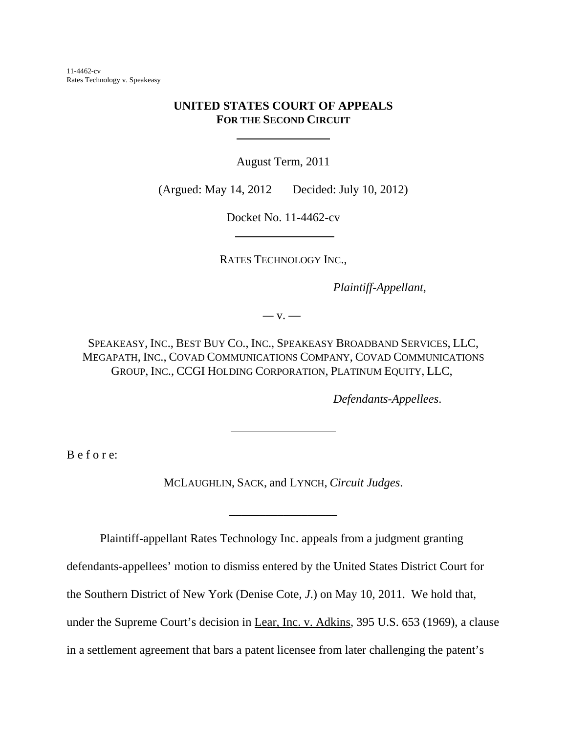11-4462-cv Rates Technology v. Speakeasy

# **UNITED STATES COURT OF APPEALS FOR THE SECOND CIRCUIT**

l

August Term, 2011

(Argued: May 14, 2012 Decided: July 10, 2012)

Docket No. 11-4462-cv

RATES TECHNOLOGY INC.,

*Plaintiff-Appellant*,

*—* v. —

SPEAKEASY, INC., BEST BUY CO., INC., SPEAKEASY BROADBAND SERVICES, LLC, MEGAPATH, INC., COVAD COMMUNICATIONS COMPANY, COVAD COMMUNICATIONS GROUP, INC., CCGI HOLDING CORPORATION, PLATINUM EQUITY, LLC,

*Defendants-Appellees*.

B e f o r e:

MCLAUGHLIN, SACK, and LYNCH, *Circuit Judges*.

\_\_\_\_\_\_\_\_\_\_\_\_\_\_\_\_\_\_

 $\overline{a}$ 

Plaintiff-appellant Rates Technology Inc. appeals from a judgment granting defendants-appellees' motion to dismiss entered by the United States District Court for the Southern District of New York (Denise Cote, *J*.) on May 10, 2011. We hold that, under the Supreme Court's decision in Lear, Inc. v. Adkins, 395 U.S. 653 (1969), a clause in a settlement agreement that bars a patent licensee from later challenging the patent's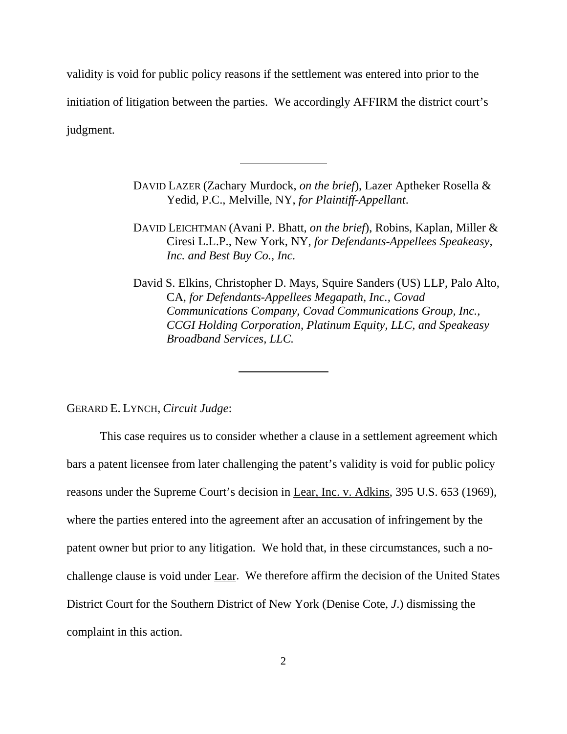validity is void for public policy reasons if the settlement was entered into prior to the initiation of litigation between the parties. We accordingly AFFIRM the district court's judgment.

 $\overline{a}$ 

 $\ddot{\phantom{a}}$ 

DAVID LAZER (Zachary Murdock, *on the brief*), Lazer Aptheker Rosella & Yedid, P.C., Melville, NY, *for Plaintiff-Appellant*.

DAVID LEICHTMAN (Avani P. Bhatt, *on the brief*), Robins, Kaplan, Miller & Ciresi L.L.P., New York, NY, *for Defendants-Appellees Speakeasy, Inc. and Best Buy Co., Inc.* 

David S. Elkins, Christopher D. Mays, Squire Sanders (US) LLP, Palo Alto, CA, *for Defendants-Appellees Megapath, Inc., Covad Communications Company, Covad Communications Group, Inc., CCGI Holding Corporation, Platinum Equity, LLC, and Speakeasy Broadband Services, LLC.* 

GERARD E. LYNCH, *Circuit Judge*:

This case requires us to consider whether a clause in a settlement agreement which bars a patent licensee from later challenging the patent's validity is void for public policy reasons under the Supreme Court's decision in Lear, Inc. v. Adkins, 395 U.S. 653 (1969), where the parties entered into the agreement after an accusation of infringement by the patent owner but prior to any litigation. We hold that, in these circumstances, such a nochallenge clause is void under Lear. We therefore affirm the decision of the United States District Court for the Southern District of New York (Denise Cote, *J*.) dismissing the complaint in this action.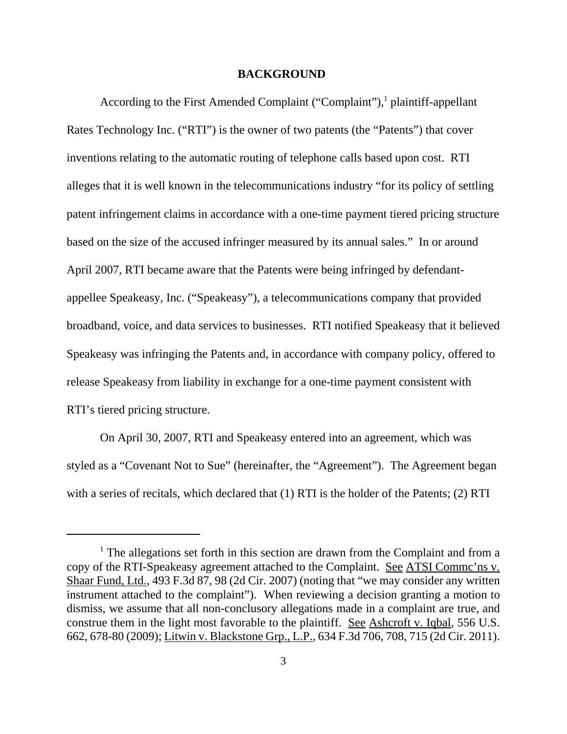### **BACKGROUND**

According to the First Amended Complaint ("Complaint"),<sup>1</sup> plaintiff-appellant Rates Technology Inc. ("RTI") is the owner of two patents (the "Patents") that cover inventions relating to the automatic routing of telephone calls based upon cost. RTI alleges that it is well known in the telecommunications industry "for its policy of settling patent infringement claims in accordance with a one-time payment tiered pricing structure based on the size of the accused infringer measured by its annual sales." In or around April 2007, RTI became aware that the Patents were being infringed by defendantappellee Speakeasy, Inc. ("Speakeasy"), a telecommunications company that provided broadband, voice, and data services to businesses.RTI notified Speakeasy that it believed Speakeasy was infringing the Patents and, in accordance with company policy, offered to release Speakeasy from liability in exchange for a one-time payment consistent with RTI's tiered pricing structure.

On April 30, 2007, RTI and Speakeasy entered into an agreement, which was styled as a "Covenant Not to Sue" (hereinafter, the "Agreement"). The Agreement began with a series of recitals, which declared that (1) RTI is the holder of the Patents; (2) RTI

<sup>&</sup>lt;sup>1</sup> The allegations set forth in this section are drawn from the Complaint and from a copy of the RTI-Speakeasy agreement attached to the Complaint. See ATSI Commc'ns v. Shaar Fund, Ltd., 493 F.3d 87, 98 (2d Cir. 2007) (noting that "we may consider any written instrument attached to the complaint"). When reviewing a decision granting a motion to dismiss, we assume that all non-conclusory allegations made in a complaint are true, and construe them in the light most favorable to the plaintiff. See Ashcroft v. Iqbal, 556 U.S. 662, 678-80 (2009); Litwin v. Blackstone Grp., L.P., 634 F.3d 706, 708, 715 (2d Cir. 2011).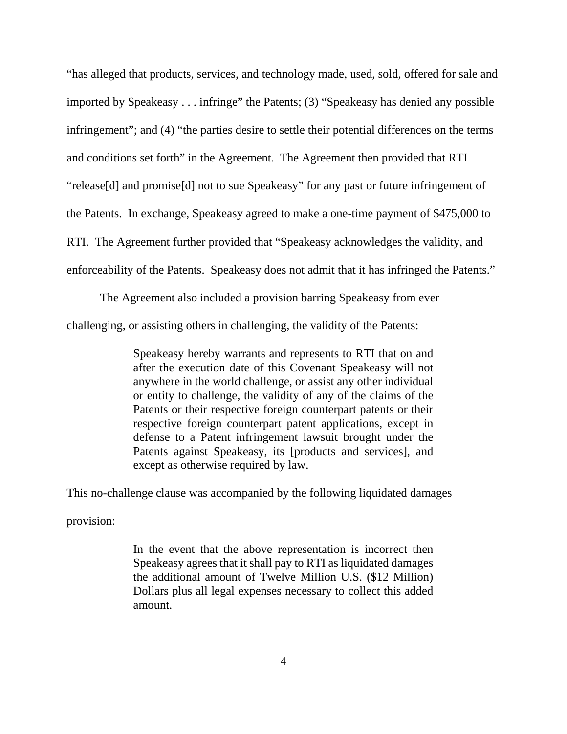"has alleged that products, services, and technology made, used, sold, offered for sale and imported by Speakeasy . . . infringe" the Patents; (3) "Speakeasy has denied any possible infringement"; and (4) "the parties desire to settle their potential differences on the terms and conditions set forth" in the Agreement. The Agreement then provided that RTI "release[d] and promise[d] not to sue Speakeasy" for any past or future infringement of the Patents. In exchange, Speakeasy agreed to make a one-time payment of \$475,000 to RTI. The Agreement further provided that "Speakeasy acknowledges the validity, and enforceability of the Patents. Speakeasy does not admit that it has infringed the Patents."

The Agreement also included a provision barring Speakeasy from ever challenging, or assisting others in challenging, the validity of the Patents:

> Speakeasy hereby warrants and represents to RTI that on and after the execution date of this Covenant Speakeasy will not anywhere in the world challenge, or assist any other individual or entity to challenge, the validity of any of the claims of the Patents or their respective foreign counterpart patents or their respective foreign counterpart patent applications, except in defense to a Patent infringement lawsuit brought under the Patents against Speakeasy, its [products and services], and except as otherwise required by law.

This no-challenge clause was accompanied by the following liquidated damages

provision:

In the event that the above representation is incorrect then Speakeasy agrees that it shall pay to RTI as liquidated damages the additional amount of Twelve Million U.S. (\$12 Million) Dollars plus all legal expenses necessary to collect this added amount.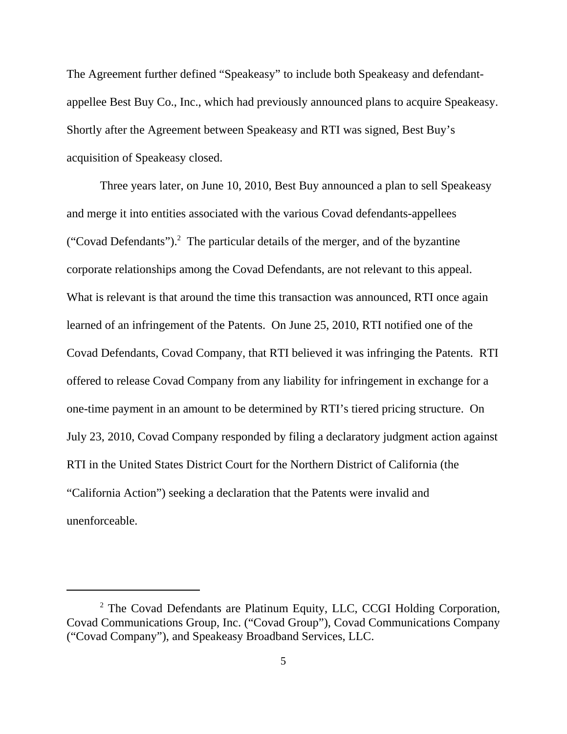The Agreement further defined "Speakeasy" to include both Speakeasy and defendantappellee Best Buy Co., Inc., which had previously announced plans to acquire Speakeasy. Shortly after the Agreement between Speakeasy and RTI was signed, Best Buy's acquisition of Speakeasy closed.

Three years later, on June 10, 2010, Best Buy announced a plan to sell Speakeasy and merge it into entities associated with the various Covad defendants-appellees ("Covad Defendants").<sup>2</sup> The particular details of the merger, and of the byzantine corporate relationships among the Covad Defendants, are not relevant to this appeal. What is relevant is that around the time this transaction was announced, RTI once again learned of an infringement of the Patents. On June 25, 2010, RTI notified one of the Covad Defendants, Covad Company, that RTI believed it was infringing the Patents. RTI offered to release Covad Company from any liability for infringement in exchange for a one-time payment in an amount to be determined by RTI's tiered pricing structure. On July 23, 2010, Covad Company responded by filing a declaratory judgment action against RTI in the United States District Court for the Northern District of California (the "California Action") seeking a declaration that the Patents were invalid and unenforceable.

<sup>&</sup>lt;sup>2</sup> The Covad Defendants are Platinum Equity, LLC, CCGI Holding Corporation, Covad Communications Group, Inc. ("Covad Group"), Covad Communications Company ("Covad Company"), and Speakeasy Broadband Services, LLC.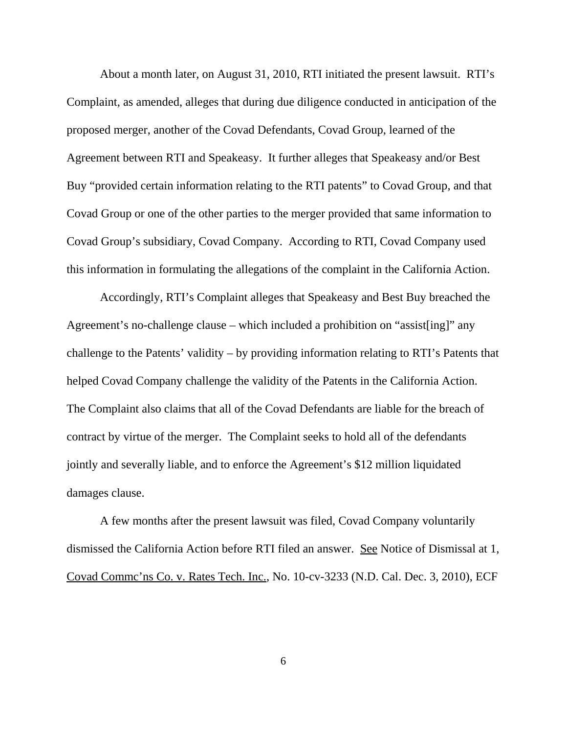About a month later, on August 31, 2010, RTI initiated the present lawsuit. RTI's Complaint, as amended, alleges that during due diligence conducted in anticipation of the proposed merger, another of the Covad Defendants, Covad Group, learned of the Agreement between RTI and Speakeasy. It further alleges that Speakeasy and/or Best Buy "provided certain information relating to the RTI patents" to Covad Group, and that Covad Group or one of the other parties to the merger provided that same information to Covad Group's subsidiary, Covad Company. According to RTI, Covad Company used this information in formulating the allegations of the complaint in the California Action.

Accordingly, RTI's Complaint alleges that Speakeasy and Best Buy breached the Agreement's no-challenge clause – which included a prohibition on "assist[ing]" any challenge to the Patents' validity – by providing information relating to RTI's Patents that helped Covad Company challenge the validity of the Patents in the California Action. The Complaint also claims that all of the Covad Defendants are liable for the breach of contract by virtue of the merger. The Complaint seeks to hold all of the defendants jointly and severally liable, and to enforce the Agreement's \$12 million liquidated damages clause.

A few months after the present lawsuit was filed, Covad Company voluntarily dismissed the California Action before RTI filed an answer. See Notice of Dismissal at 1, Covad Commc'ns Co. v. Rates Tech. Inc., No. 10-cv-3233 (N.D. Cal. Dec. 3, 2010), ECF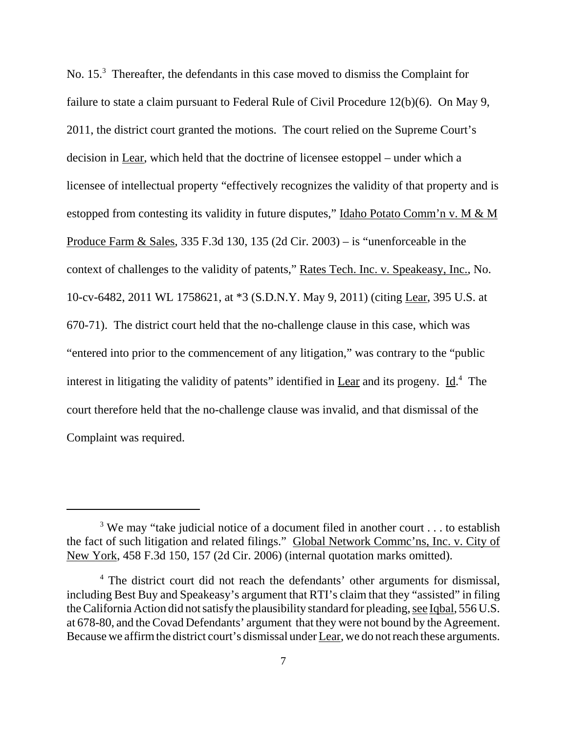No. 15.<sup>3</sup> Thereafter, the defendants in this case moved to dismiss the Complaint for failure to state a claim pursuant to Federal Rule of Civil Procedure 12(b)(6). On May 9, 2011, the district court granted the motions. The court relied on the Supreme Court's decision in Lear, which held that the doctrine of licensee estoppel – under which a licensee of intellectual property "effectively recognizes the validity of that property and is estopped from contesting its validity in future disputes," Idaho Potato Comm'n v. M & M Produce Farm & Sales, 335 F.3d 130, 135 (2d Cir. 2003) – is "unenforceable in the context of challenges to the validity of patents," Rates Tech. Inc. v. Speakeasy, Inc., No. 10-cv-6482, 2011 WL 1758621, at \*3 (S.D.N.Y. May 9, 2011) (citing Lear, 395 U.S. at 670-71). The district court held that the no-challenge clause in this case, which was "entered into prior to the commencement of any litigation," was contrary to the "public interest in litigating the validity of patents" identified in Lear and its progeny.  $\underline{Id}$ .<sup>4</sup> The court therefore held that the no-challenge clause was invalid, and that dismissal of the Complaint was required.

<sup>&</sup>lt;sup>3</sup> We may "take judicial notice of a document filed in another court  $\dots$  to establish the fact of such litigation and related filings." Global Network Commc'ns, Inc. v. City of New York, 458 F.3d 150, 157 (2d Cir. 2006) (internal quotation marks omitted).

<sup>&</sup>lt;sup>4</sup> The district court did not reach the defendants' other arguments for dismissal, including Best Buy and Speakeasy's argument that RTI's claim that they "assisted" in filing the California Action did not satisfy the plausibility standard for pleading, see Iqbal, 556 U.S. at 678-80, and the Covad Defendants' argument that they were not bound by the Agreement. Because we affirm the district court's dismissal under Lear, we do not reach these arguments.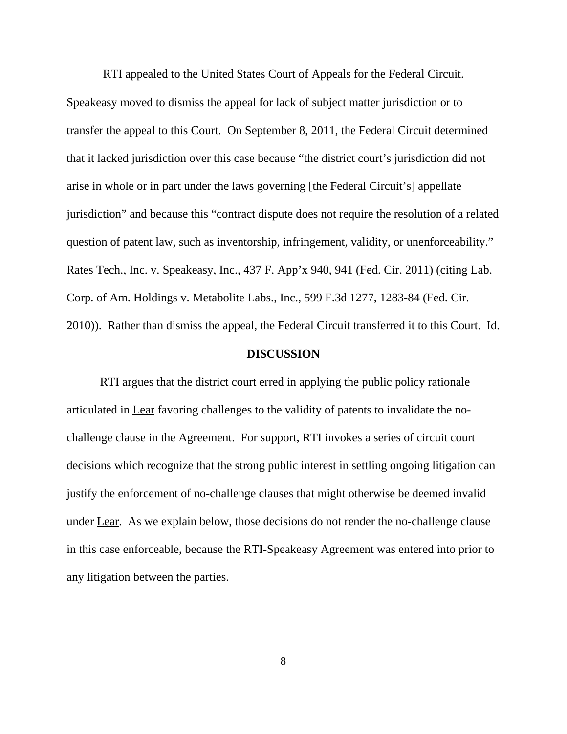RTI appealed to the United States Court of Appeals for the Federal Circuit. Speakeasy moved to dismiss the appeal for lack of subject matter jurisdiction or to transfer the appeal to this Court. On September 8, 2011, the Federal Circuit determined that it lacked jurisdiction over this case because "the district court's jurisdiction did not arise in whole or in part under the laws governing [the Federal Circuit's] appellate jurisdiction" and because this "contract dispute does not require the resolution of a related question of patent law, such as inventorship, infringement, validity, or unenforceability." Rates Tech., Inc. v. Speakeasy, Inc., 437 F. App'x 940, 941 (Fed. Cir. 2011) (citing Lab. Corp. of Am. Holdings v. Metabolite Labs., Inc., 599 F.3d 1277, 1283-84 (Fed. Cir.  $2010$ ). Rather than dismiss the appeal, the Federal Circuit transferred it to this Court. Id.

### **DISCUSSION**

RTI argues that the district court erred in applying the public policy rationale articulated in Lear favoring challenges to the validity of patents to invalidate the nochallenge clause in the Agreement. For support, RTI invokes a series of circuit court decisions which recognize that the strong public interest in settling ongoing litigation can justify the enforcement of no-challenge clauses that might otherwise be deemed invalid under Lear. As we explain below, those decisions do not render the no-challenge clause in this case enforceable, because the RTI-Speakeasy Agreement was entered into prior to any litigation between the parties.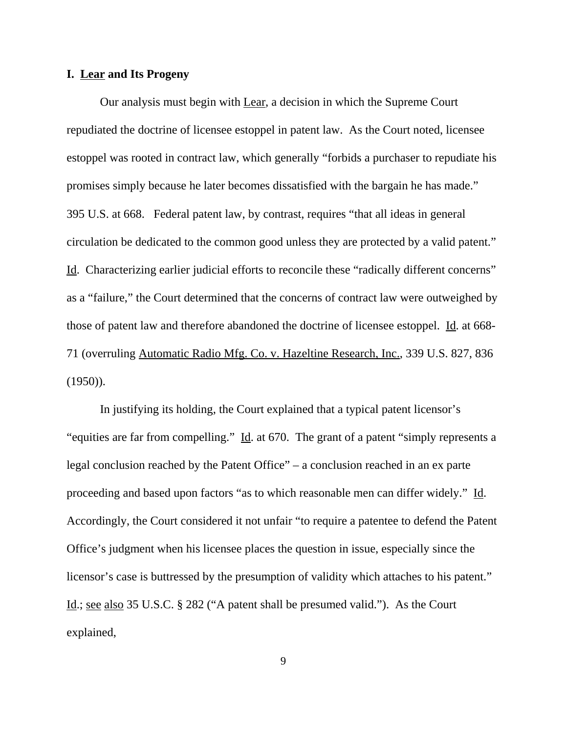# **I. Lear and Its Progeny**

Our analysis must begin with Lear, a decision in which the Supreme Court repudiated the doctrine of licensee estoppel in patent law. As the Court noted, licensee estoppel was rooted in contract law, which generally "forbids a purchaser to repudiate his promises simply because he later becomes dissatisfied with the bargain he has made." 395 U.S. at 668. Federal patent law, by contrast, requires "that all ideas in general circulation be dedicated to the common good unless they are protected by a valid patent." Id. Characterizing earlier judicial efforts to reconcile these "radically different concerns" as a "failure," the Court determined that the concerns of contract law were outweighed by those of patent law and therefore abandoned the doctrine of licensee estoppel. Id. at 668-71 (overruling Automatic Radio Mfg. Co. v. Hazeltine Research, Inc., 339 U.S. 827, 836  $(1950)$ ).

In justifying its holding, the Court explained that a typical patent licensor's "equities are far from compelling." Id. at 670. The grant of a patent "simply represents a legal conclusion reached by the Patent Office" – a conclusion reached in an ex parte proceeding and based upon factors "as to which reasonable men can differ widely." Id. Accordingly, the Court considered it not unfair "to require a patentee to defend the Patent Office's judgment when his licensee places the question in issue, especially since the licensor's case is buttressed by the presumption of validity which attaches to his patent." Id.; see also 35 U.S.C. § 282 ("A patent shall be presumed valid."). As the Court explained,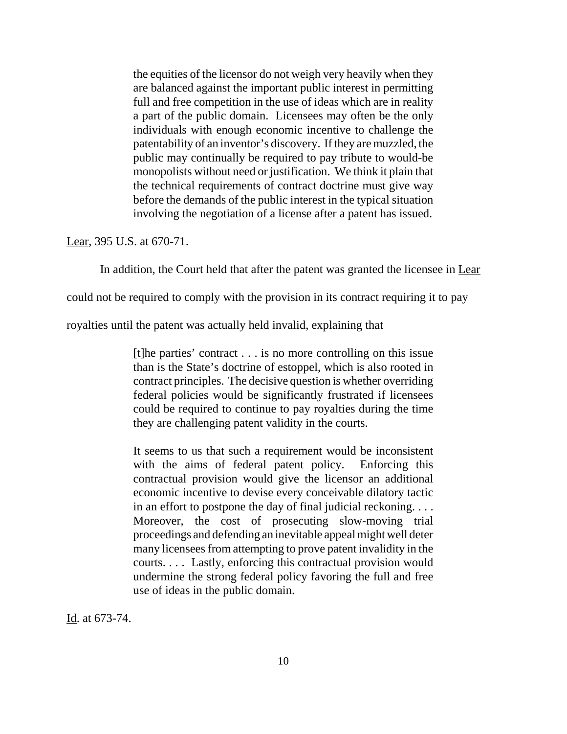the equities of the licensor do not weigh very heavily when they are balanced against the important public interest in permitting full and free competition in the use of ideas which are in reality a part of the public domain. Licensees may often be the only individuals with enough economic incentive to challenge the patentability of an inventor's discovery. If they are muzzled, the public may continually be required to pay tribute to would-be monopolists without need or justification. We think it plain that the technical requirements of contract doctrine must give way before the demands of the public interest in the typical situation involving the negotiation of a license after a patent has issued.

Lear, 395 U.S. at 670-71.

In addition, the Court held that after the patent was granted the licensee in Lear

could not be required to comply with the provision in its contract requiring it to pay

royalties until the patent was actually held invalid, explaining that

[t]he parties' contract . . . is no more controlling on this issue than is the State's doctrine of estoppel, which is also rooted in contract principles. The decisive question is whether overriding federal policies would be significantly frustrated if licensees could be required to continue to pay royalties during the time they are challenging patent validity in the courts.

It seems to us that such a requirement would be inconsistent with the aims of federal patent policy. Enforcing this contractual provision would give the licensor an additional economic incentive to devise every conceivable dilatory tactic in an effort to postpone the day of final judicial reckoning. . . . Moreover, the cost of prosecuting slow-moving trial proceedings and defending an inevitable appeal might well deter many licensees from attempting to prove patent invalidity in the courts. . . . Lastly, enforcing this contractual provision would undermine the strong federal policy favoring the full and free use of ideas in the public domain.

Id. at 673-74.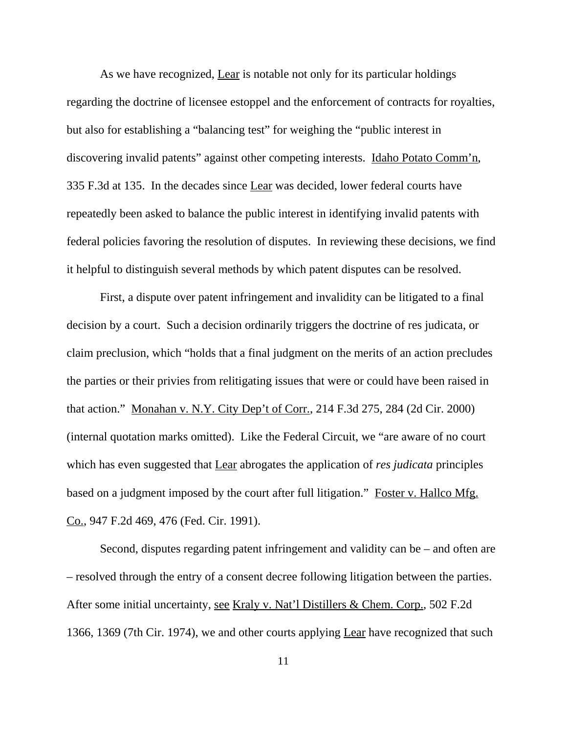As we have recognized, Lear is notable not only for its particular holdings regarding the doctrine of licensee estoppel and the enforcement of contracts for royalties, but also for establishing a "balancing test" for weighing the "public interest in discovering invalid patents" against other competing interests. Idaho Potato Comm'n, 335 F.3d at 135. In the decades since Lear was decided, lower federal courts have repeatedly been asked to balance the public interest in identifying invalid patents with federal policies favoring the resolution of disputes. In reviewing these decisions, we find it helpful to distinguish several methods by which patent disputes can be resolved.

First, a dispute over patent infringement and invalidity can be litigated to a final decision by a court. Such a decision ordinarily triggers the doctrine of res judicata, or claim preclusion, which "holds that a final judgment on the merits of an action precludes the parties or their privies from relitigating issues that were or could have been raised in that action." Monahan v. N.Y. City Dep't of Corr., 214 F.3d 275, 284 (2d Cir. 2000) (internal quotation marks omitted). Like the Federal Circuit, we "are aware of no court which has even suggested that Lear abrogates the application of *res judicata* principles based on a judgment imposed by the court after full litigation." Foster v. Hallco Mfg. Co., 947 F.2d 469, 476 (Fed. Cir. 1991).

Second, disputes regarding patent infringement and validity can be – and often are – resolved through the entry of a consent decree following litigation between the parties. After some initial uncertainty, see Kraly v. Nat'l Distillers & Chem. Corp., 502 F.2d 1366, 1369 (7th Cir. 1974), we and other courts applying Lear have recognized that such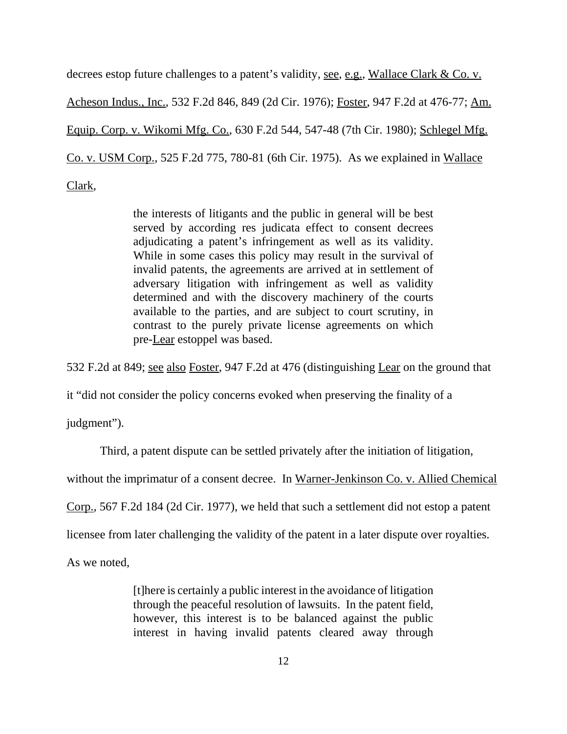decrees estop future challenges to a patent's validity, see, e.g., Wallace Clark & Co. v. Acheson Indus., Inc., 532 F.2d 846, 849 (2d Cir. 1976); Foster, 947 F.2d at 476-77; Am. Equip. Corp. v. Wikomi Mfg. Co., 630 F.2d 544, 547-48 (7th Cir. 1980); Schlegel Mfg. Co. v. USM Corp., 525 F.2d 775, 780-81 (6th Cir. 1975). As we explained in Wallace Clark,

> the interests of litigants and the public in general will be best served by according res judicata effect to consent decrees adjudicating a patent's infringement as well as its validity. While in some cases this policy may result in the survival of invalid patents, the agreements are arrived at in settlement of adversary litigation with infringement as well as validity determined and with the discovery machinery of the courts available to the parties, and are subject to court scrutiny, in contrast to the purely private license agreements on which pre-Lear estoppel was based.

532 F.2d at 849; see also Foster, 947 F.2d at 476 (distinguishing Lear on the ground that

it "did not consider the policy concerns evoked when preserving the finality of a

judgment").

Third, a patent dispute can be settled privately after the initiation of litigation,

without the imprimatur of a consent decree. In Warner-Jenkinson Co. v. Allied Chemical

Corp., 567 F.2d 184 (2d Cir. 1977), we held that such a settlement did not estop a patent

licensee from later challenging the validity of the patent in a later dispute over royalties.

As we noted,

[t]here is certainly a public interest in the avoidance of litigation through the peaceful resolution of lawsuits. In the patent field, however, this interest is to be balanced against the public interest in having invalid patents cleared away through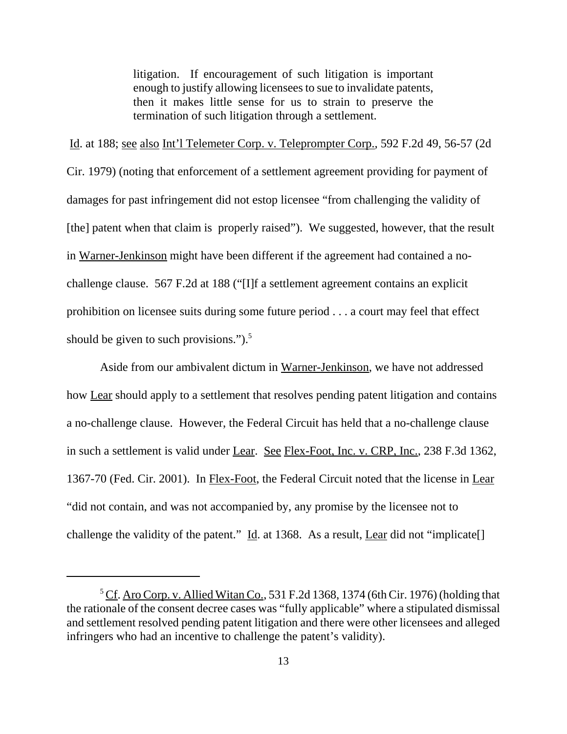litigation. If encouragement of such litigation is important enough to justify allowing licensees to sue to invalidate patents, then it makes little sense for us to strain to preserve the termination of such litigation through a settlement.

 Id. at 188; see also Int'l Telemeter Corp. v. Teleprompter Corp., 592 F.2d 49, 56-57 (2d Cir. 1979) (noting that enforcement of a settlement agreement providing for payment of damages for past infringement did not estop licensee "from challenging the validity of [the] patent when that claim is properly raised"). We suggested, however, that the result in Warner-Jenkinson might have been different if the agreement had contained a nochallenge clause. 567 F.2d at 188 ("[I]f a settlement agreement contains an explicit prohibition on licensee suits during some future period . . . a court may feel that effect should be given to such provisions."). $5$ 

Aside from our ambivalent dictum in Warner-Jenkinson, we have not addressed how Lear should apply to a settlement that resolves pending patent litigation and contains a no-challenge clause. However, the Federal Circuit has held that a no-challenge clause in such a settlement is valid under Lear. See Flex-Foot, Inc. v. CRP, Inc., 238 F.3d 1362, 1367-70 (Fed. Cir. 2001). In Flex-Foot, the Federal Circuit noted that the license in Lear "did not contain, and was not accompanied by, any promise by the licensee not to challenge the validity of the patent." Id. at 1368. As a result, Lear did not "implicate.

 $5 \text{ Cf.}$  Aro Corp. v. Allied Witan Co., 531 F.2d 1368, 1374 (6th Cir. 1976) (holding that the rationale of the consent decree cases was "fully applicable" where a stipulated dismissal and settlement resolved pending patent litigation and there were other licensees and alleged infringers who had an incentive to challenge the patent's validity).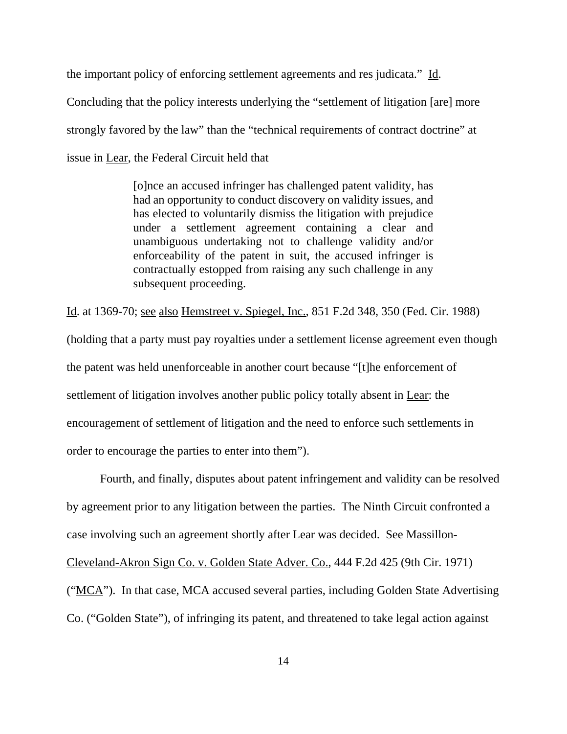the important policy of enforcing settlement agreements and res judicata." Id. Concluding that the policy interests underlying the "settlement of litigation [are] more strongly favored by the law" than the "technical requirements of contract doctrine" at issue in Lear, the Federal Circuit held that

> [o]nce an accused infringer has challenged patent validity, has had an opportunity to conduct discovery on validity issues, and has elected to voluntarily dismiss the litigation with prejudice under a settlement agreement containing a clear and unambiguous undertaking not to challenge validity and/or enforceability of the patent in suit, the accused infringer is contractually estopped from raising any such challenge in any subsequent proceeding.

Id. at 1369-70; see also Hemstreet v. Spiegel, Inc., 851 F.2d 348, 350 (Fed. Cir. 1988)

(holding that a party must pay royalties under a settlement license agreement even though the patent was held unenforceable in another court because "[t]he enforcement of settlement of litigation involves another public policy totally absent in Lear: the encouragement of settlement of litigation and the need to enforce such settlements in order to encourage the parties to enter into them").

Fourth, and finally, disputes about patent infringement and validity can be resolved by agreement prior to any litigation between the parties. The Ninth Circuit confronted a case involving such an agreement shortly after Lear was decided. See Massillon-Cleveland-Akron Sign Co. v. Golden State Adver. Co., 444 F.2d 425 (9th Cir. 1971) (" $MCA$ "). In that case, MCA accused several parties, including Golden State Advertising Co. ("Golden State"), of infringing its patent, and threatened to take legal action against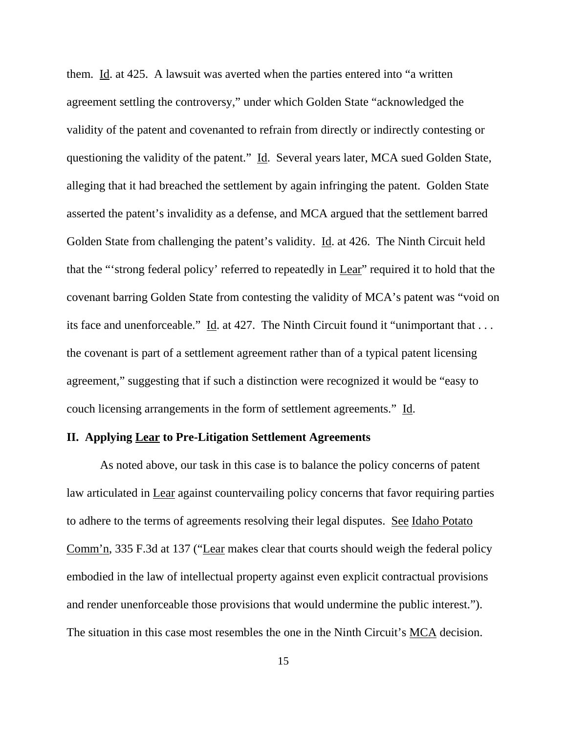them. Id. at 425. A lawsuit was averted when the parties entered into "a written agreement settling the controversy," under which Golden State "acknowledged the validity of the patent and covenanted to refrain from directly or indirectly contesting or questioning the validity of the patent." Id. Several years later, MCA sued Golden State, alleging that it had breached the settlement by again infringing the patent. Golden State asserted the patent's invalidity as a defense, and MCA argued that the settlement barred Golden State from challenging the patent's validity. Id. at 426. The Ninth Circuit held that the "'strong federal policy' referred to repeatedly in Lear" required it to hold that the covenant barring Golden State from contesting the validity of MCA's patent was "void on its face and unenforceable." Id. at 427. The Ninth Circuit found it "unimportant that . . . the covenant is part of a settlement agreement rather than of a typical patent licensing agreement," suggesting that if such a distinction were recognized it would be "easy to couch licensing arrangements in the form of settlement agreements." Id.

## **II. Applying Lear to Pre-Litigation Settlement Agreements**

As noted above, our task in this case is to balance the policy concerns of patent law articulated in Lear against countervailing policy concerns that favor requiring parties to adhere to the terms of agreements resolving their legal disputes. See Idaho Potato Comm'n, 335 F.3d at 137 ("Lear makes clear that courts should weigh the federal policy embodied in the law of intellectual property against even explicit contractual provisions and render unenforceable those provisions that would undermine the public interest."). The situation in this case most resembles the one in the Ninth Circuit's MCA decision.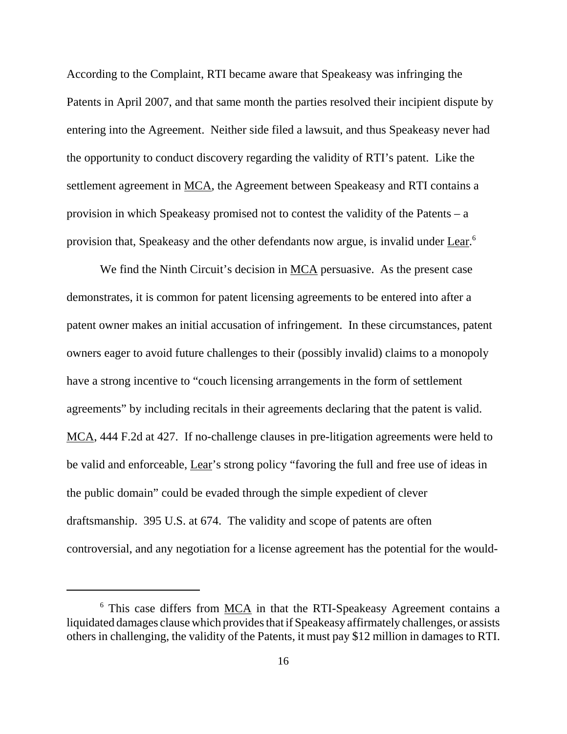According to the Complaint, RTI became aware that Speakeasy was infringing the Patents in April 2007, and that same month the parties resolved their incipient dispute by entering into the Agreement. Neither side filed a lawsuit, and thus Speakeasy never had the opportunity to conduct discovery regarding the validity of RTI's patent. Like the settlement agreement in MCA, the Agreement between Speakeasy and RTI contains a provision in which Speakeasy promised not to contest the validity of the Patents – a provision that, Speakeasy and the other defendants now argue, is invalid under Lear.<sup>6</sup>

We find the Ninth Circuit's decision in <u>MCA</u> persuasive. As the present case demonstrates, it is common for patent licensing agreements to be entered into after a patent owner makes an initial accusation of infringement. In these circumstances, patent owners eager to avoid future challenges to their (possibly invalid) claims to a monopoly have a strong incentive to "couch licensing arrangements in the form of settlement agreements" by including recitals in their agreements declaring that the patent is valid. MCA, 444 F.2d at 427. If no-challenge clauses in pre-litigation agreements were held to be valid and enforceable, Lear's strong policy "favoring the full and free use of ideas in the public domain" could be evaded through the simple expedient of clever draftsmanship. 395 U.S. at 674. The validity and scope of patents are often controversial, and any negotiation for a license agreement has the potential for the would-

 $6$  This case differs from  $MCA$  in that the RTI-Speakeasy Agreement contains a</u> liquidated damages clause which provides that if Speakeasy affirmately challenges, or assists others in challenging, the validity of the Patents, it must pay \$12 million in damages to RTI.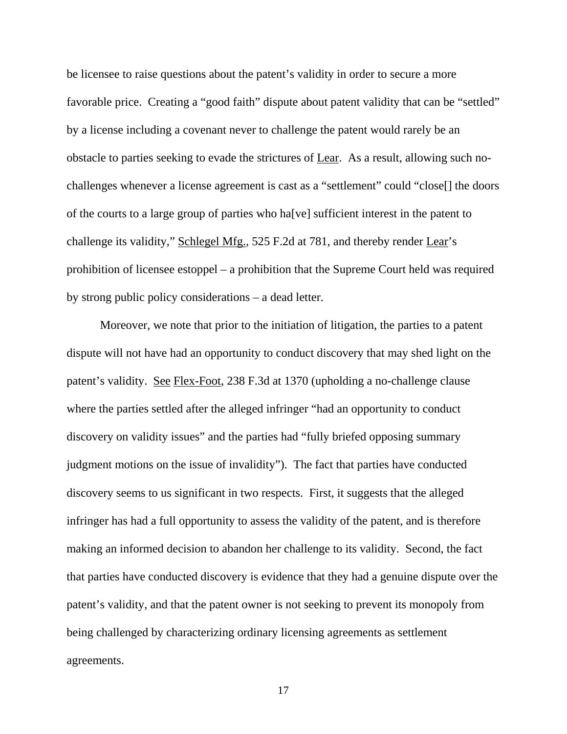be licensee to raise questions about the patent's validity in order to secure a more favorable price. Creating a "good faith" dispute about patent validity that can be "settled" by a license including a covenant never to challenge the patent would rarely be an obstacle to parties seeking to evade the strictures of Lear. As a result, allowing such nochallenges whenever a license agreement is cast as a "settlement" could "close[] the doors of the courts to a large group of parties who ha[ve] sufficient interest in the patent to challenge its validity," Schlegel Mfg., 525 F.2d at 781, and thereby render Lear's prohibition of licensee estoppel – a prohibition that the Supreme Court held was required by strong public policy considerations – a dead letter.

Moreover, we note that prior to the initiation of litigation, the parties to a patent dispute will not have had an opportunity to conduct discovery that may shed light on the patent's validity. See Flex-Foot, 238 F.3d at 1370 (upholding a no-challenge clause where the parties settled after the alleged infringer "had an opportunity to conduct discovery on validity issues" and the parties had "fully briefed opposing summary judgment motions on the issue of invalidity"). The fact that parties have conducted discovery seems to us significant in two respects. First, it suggests that the alleged infringer has had a full opportunity to assess the validity of the patent, and is therefore making an informed decision to abandon her challenge to its validity. Second, the fact that parties have conducted discovery is evidence that they had a genuine dispute over the patent's validity, and that the patent owner is not seeking to prevent its monopoly from being challenged by characterizing ordinary licensing agreements as settlement agreements.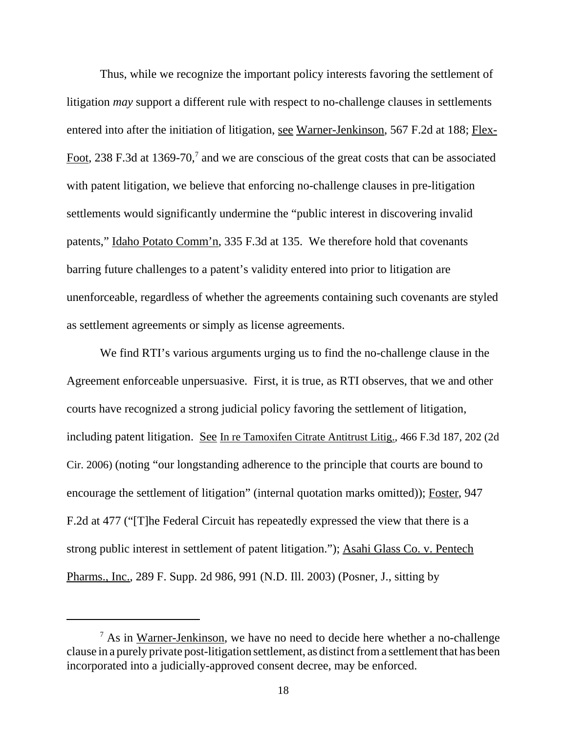Thus, while we recognize the important policy interests favoring the settlement of litigation *may* support a different rule with respect to no-challenge clauses in settlements entered into after the initiation of litigation, see Warner-Jenkinson, 567 F.2d at 188; Flex-Foot, 238 F.3d at 1369-70,<sup>7</sup> and we are conscious of the great costs that can be associated with patent litigation, we believe that enforcing no-challenge clauses in pre-litigation settlements would significantly undermine the "public interest in discovering invalid patents," Idaho Potato Comm'n, 335 F.3d at 135. We therefore hold that covenants barring future challenges to a patent's validity entered into prior to litigation are unenforceable, regardless of whether the agreements containing such covenants are styled as settlement agreements or simply as license agreements.

We find RTI's various arguments urging us to find the no-challenge clause in the Agreement enforceable unpersuasive. First, it is true, as RTI observes, that we and other courts have recognized a strong judicial policy favoring the settlement of litigation, including patent litigation. See In re Tamoxifen Citrate Antitrust Litig., 466 F.3d 187, 202 (2d Cir. 2006) (noting "our longstanding adherence to the principle that courts are bound to encourage the settlement of litigation" (internal quotation marks omitted)); Foster, 947 F.2d at 477 ("[T]he Federal Circuit has repeatedly expressed the view that there is a strong public interest in settlement of patent litigation."); Asahi Glass Co. v. Pentech Pharms., Inc., 289 F. Supp. 2d 986, 991 (N.D. Ill. 2003) (Posner, J., sitting by

<sup>&</sup>lt;sup>7</sup> As in Warner-Jenkinson, we have no need to decide here whether a no-challenge clause in a purely private post-litigation settlement, as distinct from a settlement that has been incorporated into a judicially-approved consent decree, may be enforced.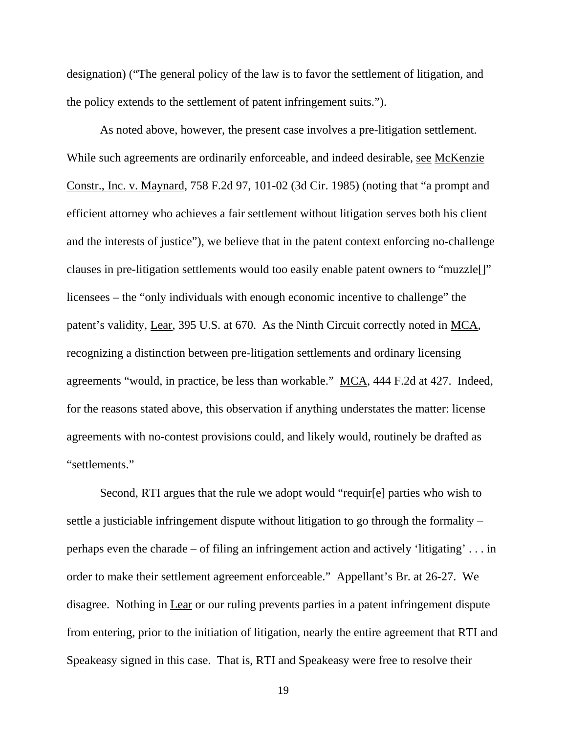designation) ("The general policy of the law is to favor the settlement of litigation, and the policy extends to the settlement of patent infringement suits.").

As noted above, however, the present case involves a pre-litigation settlement. While such agreements are ordinarily enforceable, and indeed desirable, see McKenzie Constr., Inc. v. Maynard, 758 F.2d 97, 101-02 (3d Cir. 1985) (noting that "a prompt and efficient attorney who achieves a fair settlement without litigation serves both his client and the interests of justice"), we believe that in the patent context enforcing no-challenge clauses in pre-litigation settlements would too easily enable patent owners to "muzzle[]" licensees – the "only individuals with enough economic incentive to challenge" the patent's validity, Lear, 395 U.S. at 670. As the Ninth Circuit correctly noted in <u>MCA</u>, recognizing a distinction between pre-litigation settlements and ordinary licensing agreements "would, in practice, be less than workable." MCA, 444 F.2d at 427. Indeed, for the reasons stated above, this observation if anything understates the matter: license agreements with no-contest provisions could, and likely would, routinely be drafted as "settlements."

Second, RTI argues that the rule we adopt would "requir[e] parties who wish to settle a justiciable infringement dispute without litigation to go through the formality – perhaps even the charade – of filing an infringement action and actively 'litigating' . . . in order to make their settlement agreement enforceable." Appellant's Br. at 26-27. We disagree. Nothing in Lear or our ruling prevents parties in a patent infringement dispute from entering, prior to the initiation of litigation, nearly the entire agreement that RTI and Speakeasy signed in this case. That is, RTI and Speakeasy were free to resolve their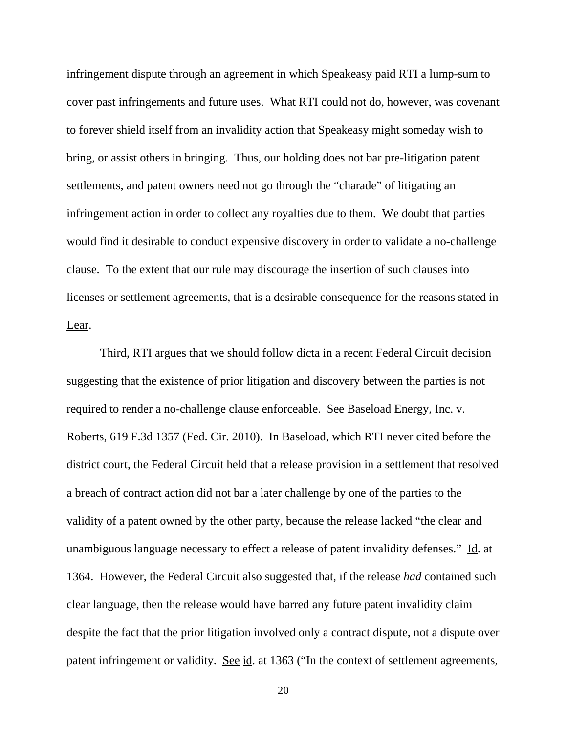infringement dispute through an agreement in which Speakeasy paid RTI a lump-sum to cover past infringements and future uses. What RTI could not do, however, was covenant to forever shield itself from an invalidity action that Speakeasy might someday wish to bring, or assist others in bringing. Thus, our holding does not bar pre-litigation patent settlements, and patent owners need not go through the "charade" of litigating an infringement action in order to collect any royalties due to them. We doubt that parties would find it desirable to conduct expensive discovery in order to validate a no-challenge clause. To the extent that our rule may discourage the insertion of such clauses into licenses or settlement agreements, that is a desirable consequence for the reasons stated in Lear.

Third, RTI argues that we should follow dicta in a recent Federal Circuit decision suggesting that the existence of prior litigation and discovery between the parties is not required to render a no-challenge clause enforceable. See Baseload Energy, Inc. v. Roberts, 619 F.3d 1357 (Fed. Cir. 2010). In Baseload, which RTI never cited before the district court, the Federal Circuit held that a release provision in a settlement that resolved a breach of contract action did not bar a later challenge by one of the parties to the validity of a patent owned by the other party, because the release lacked "the clear and unambiguous language necessary to effect a release of patent invalidity defenses." Id. at 1364. However, the Federal Circuit also suggested that, if the release *had* contained such clear language, then the release would have barred any future patent invalidity claim despite the fact that the prior litigation involved only a contract dispute, not a dispute over patent infringement or validity. See id. at 1363 ("In the context of settlement agreements,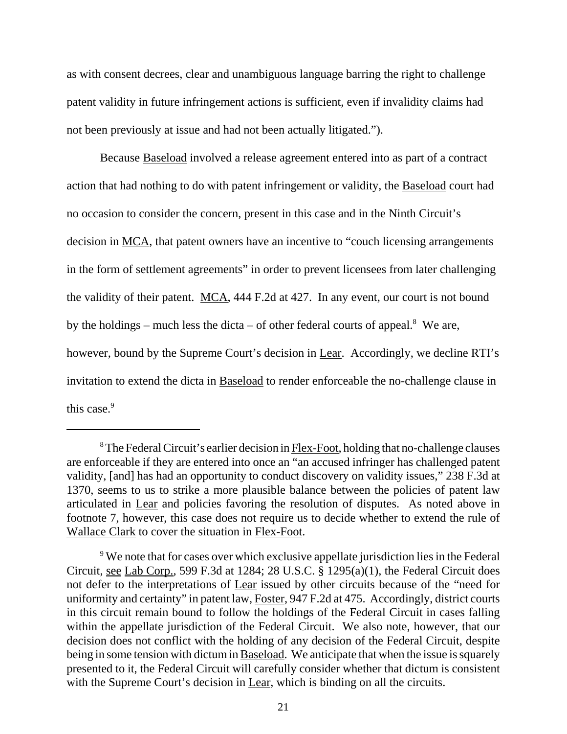as with consent decrees, clear and unambiguous language barring the right to challenge patent validity in future infringement actions is sufficient, even if invalidity claims had not been previously at issue and had not been actually litigated.").

Because Baseload involved a release agreement entered into as part of a contract action that had nothing to do with patent infringement or validity, the Baseload court had no occasion to consider the concern, present in this case and in the Ninth Circuit's decision in MCA, that patent owners have an incentive to "couch licensing arrangements in the form of settlement agreements" in order to prevent licensees from later challenging the validity of their patent. MCA, 444 F.2d at 427. In any event, our court is not bound by the holdings – much less the dicta – of other federal courts of appeal.<sup>8</sup> We are, however, bound by the Supreme Court's decision in Lear. Accordingly, we decline RTI's invitation to extend the dicta in Baseload to render enforceable the no-challenge clause in this case.<sup>9</sup>

<sup>&</sup>lt;sup>8</sup> The Federal Circuit's earlier decision in Flex-Foot, holding that no-challenge clauses are enforceable if they are entered into once an "an accused infringer has challenged patent validity, [and] has had an opportunity to conduct discovery on validity issues," 238 F.3d at 1370, seems to us to strike a more plausible balance between the policies of patent law articulated in Lear and policies favoring the resolution of disputes. As noted above in footnote 7, however, this case does not require us to decide whether to extend the rule of Wallace Clark to cover the situation in Flex-Foot.

<sup>&</sup>lt;sup>9</sup> We note that for cases over which exclusive appellate jurisdiction lies in the Federal Circuit, see Lab Corp., 599 F.3d at 1284; 28 U.S.C. § 1295(a)(1), the Federal Circuit does not defer to the interpretations of Lear issued by other circuits because of the "need for uniformity and certainty" in patent law, Foster, 947 F.2d at 475. Accordingly, district courts in this circuit remain bound to follow the holdings of the Federal Circuit in cases falling within the appellate jurisdiction of the Federal Circuit. We also note, however, that our decision does not conflict with the holding of any decision of the Federal Circuit, despite being in some tension with dictum in Baseload. We anticipate that when the issue is squarely presented to it, the Federal Circuit will carefully consider whether that dictum is consistent with the Supreme Court's decision in Lear, which is binding on all the circuits.